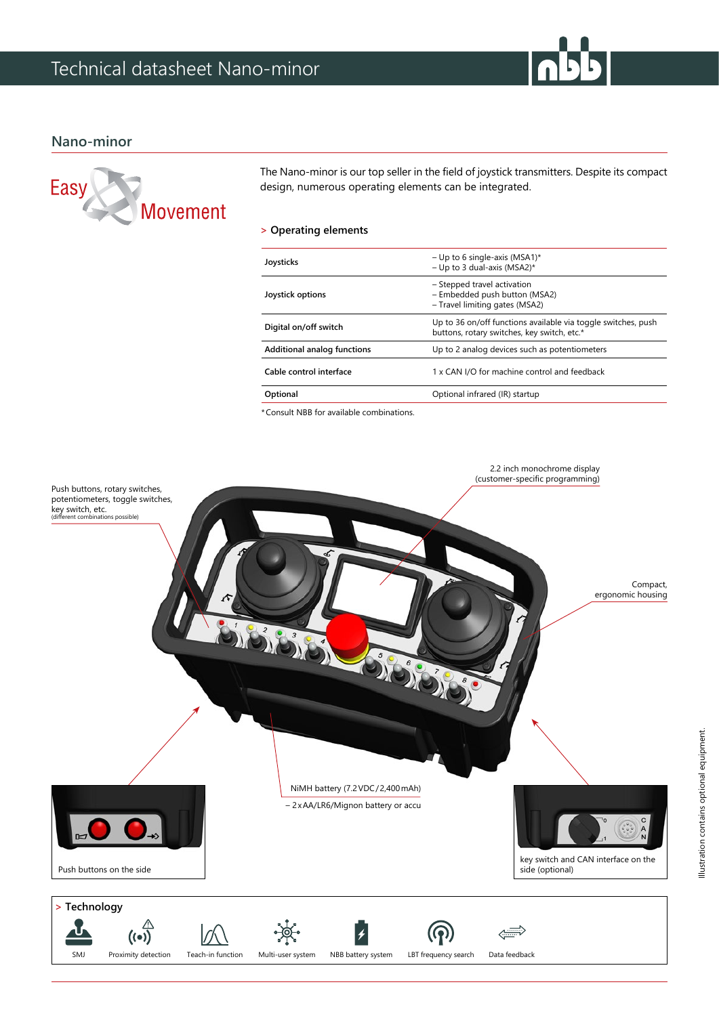## **Nano-minor**



The Nano-minor is our top seller in the field of joystick transmitters. Despite its compact design, numerous operating elements can be integrated.

### **> Operating elements**

| Joysticks                   | - Up to 6 single-axis (MSA1)*<br>- Up to 3 dual-axis (MSA2)*                                                 |
|-----------------------------|--------------------------------------------------------------------------------------------------------------|
| Joystick options            | - Stepped travel activation<br>- Embedded push button (MSA2)<br>- Travel limiting gates (MSA2)               |
| Digital on/off switch       | Up to 36 on/off functions available via toggle switches, push<br>buttons, rotary switches, key switch, etc.* |
| Additional analog functions | Up to 2 analog devices such as potentiometers                                                                |
| Cable control interface     | 1 x CAN I/O for machine control and feedback                                                                 |
| Optional                    | Optional infrared (IR) startup                                                                               |
|                             |                                                                                                              |

\*Consult NBB for available combinations.